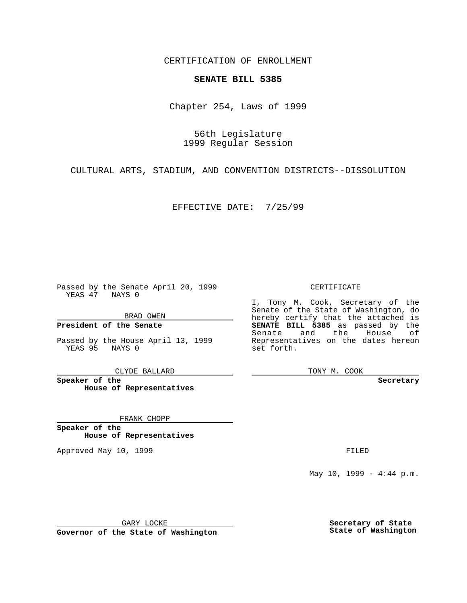CERTIFICATION OF ENROLLMENT

## **SENATE BILL 5385**

Chapter 254, Laws of 1999

56th Legislature 1999 Regular Session

CULTURAL ARTS, STADIUM, AND CONVENTION DISTRICTS--DISSOLUTION

EFFECTIVE DATE: 7/25/99

Passed by the Senate April 20, 1999 YEAS 47 NAYS 0

BRAD OWEN

**President of the Senate**

Passed by the House April 13, 1999 YEAS 95 NAYS 0

CLYDE BALLARD

**Speaker of the House of Representatives**

FRANK CHOPP

**Speaker of the House of Representatives**

Approved May 10, 1999 **FILED** 

CERTIFICATE

I, Tony M. Cook, Secretary of the Senate of the State of Washington, do hereby certify that the attached is **SENATE BILL 5385** as passed by the Senate and the House of Representatives on the dates hereon set forth.

TONY M. COOK

**Secretary**

May 10, 1999 - 4:44 p.m.

GARY LOCKE

**Governor of the State of Washington**

**Secretary of State State of Washington**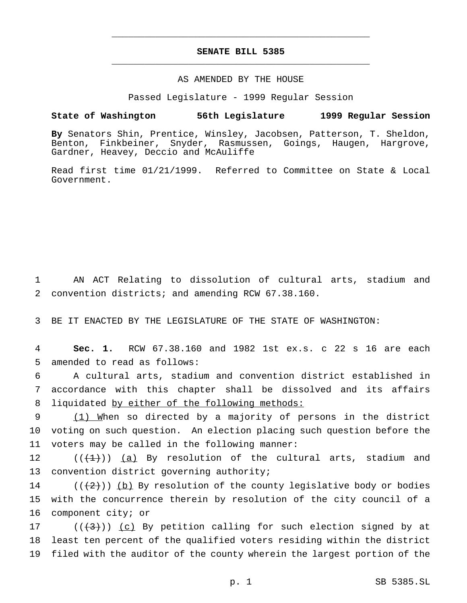## **SENATE BILL 5385** \_\_\_\_\_\_\_\_\_\_\_\_\_\_\_\_\_\_\_\_\_\_\_\_\_\_\_\_\_\_\_\_\_\_\_\_\_\_\_\_\_\_\_\_\_\_\_

\_\_\_\_\_\_\_\_\_\_\_\_\_\_\_\_\_\_\_\_\_\_\_\_\_\_\_\_\_\_\_\_\_\_\_\_\_\_\_\_\_\_\_\_\_\_\_

## AS AMENDED BY THE HOUSE

Passed Legislature - 1999 Regular Session

## **State of Washington 56th Legislature 1999 Regular Session**

**By** Senators Shin, Prentice, Winsley, Jacobsen, Patterson, T. Sheldon, Benton, Finkbeiner, Snyder, Rasmussen, Goings, Haugen, Hargrove, Gardner, Heavey, Deccio and McAuliffe

Read first time 01/21/1999. Referred to Committee on State & Local Government.

1 AN ACT Relating to dissolution of cultural arts, stadium and 2 convention districts; and amending RCW 67.38.160.

3 BE IT ENACTED BY THE LEGISLATURE OF THE STATE OF WASHINGTON:

4 **Sec. 1.** RCW 67.38.160 and 1982 1st ex.s. c 22 s 16 are each 5 amended to read as follows:

6 A cultural arts, stadium and convention district established in 7 accordance with this chapter shall be dissolved and its affairs 8 liquidated by either of the following methods:

9 (1) When so directed by a majority of persons in the district 10 voting on such question. An election placing such question before the 11 voters may be called in the following manner:

12  $((+1))$   $(a)$  By resolution of the cultural arts, stadium and 13 convention district governing authority;

14  $((2))$  (b) By resolution of the county legislative body or bodies 15 with the concurrence therein by resolution of the city council of a 16 component city; or

17  $((+3+))$   $(c)$  By petition calling for such election signed by at 18 least ten percent of the qualified voters residing within the district 19 filed with the auditor of the county wherein the largest portion of the